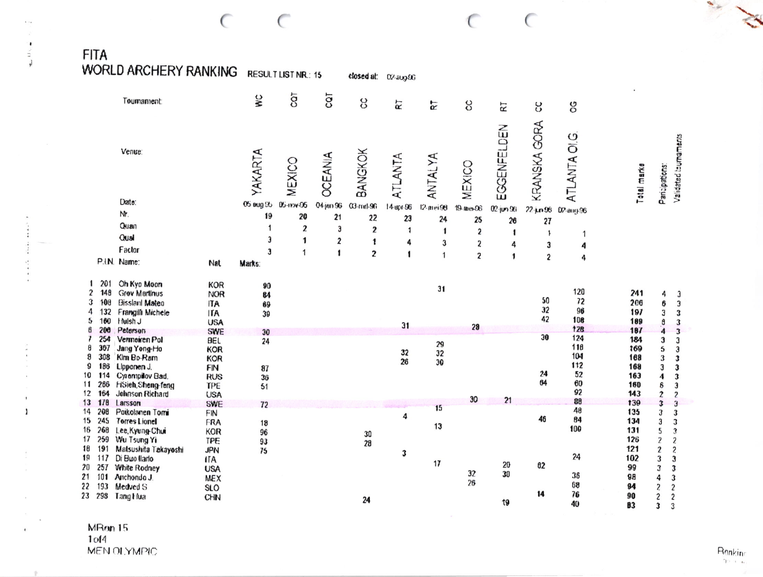**FITA** 

 $\ddot{ }$ 

 $\bullet$  $\mathbf{U}$  .

 $\mathbf{j}$ 

**Charles Alice Addition** 

 $\mathbf{I}$ 

 $\mathbf 1$ 

**WORLD ARCHERY RANKING RESULT LIST NR.: 15** closed at: 02-aug-96 G TOC ٧Ċ ပ္ပ Tournament: **RT**  $\overline{\alpha}$ g RT ပ္ပ g KRANSKA GORA EGGENFELDEN **ATLANTA OI.G** Venue: YAKARTA **OCEANIA** BANGKOK ATLANTA ANTALYA MEXICO MEXICO Total marks Paricipations: Date: 04 jan 96 05 Bug 95 05-mov-96  $03$ -trinl-96 14-врг-96 12-mei96  $19$  mer $96$  $02$ -jun-9(i  $22 \mu n 96$ 02-aug-96 Nr. 19 20  $21$ 22 23 24 25  $26$ 27 Quan  $\boldsymbol{2}$ 1 Э  $\overline{2}$  $\mathbf{1}$  $\mathbf{1}$  $\overline{\mathbf{c}}$ -1  $\overline{\mathbf{1}}$  $\mathbf 1$ Qual  $\mathbf{3}$  $\mathbf{1}$  $\overline{\mathbf{z}}$  $\mathbf{1}$ 4  $\mathbf{3}$  $\overline{\mathbf{z}}$ 4  $\mathbf{3}$ 4 Factor 3  $\mathbf{1}$  $\mathbf{1}$  $\overline{2}$  $\mathbf{1}$  $\overline{1}$  $\overline{2}$  $\mathbf{1}$  $\overline{2}$  $\ddot{4}$ P.I.N. Name: Nat Marks: 1 201 Oh Kyo Moon **KOR** 90 31 120  $\overline{2}$ 148 **Grev Martinus** 241 **NOR** 4 84 50 72 3 108 **Bisslanl Mateo** 206 6 **ITA** 69  $32$ 96 4 132 Frangilli Michele 197  $\mathbf{3}$ **ITA** 39 42 108 5 160 Huish J **USA** 189 ð  $31$  $28$  $12B$ 6 200 Peterson 187 **SWE**  $30$  $\overline{4}$ 30 124 Vermeiren Pol 7 254 184  $\mathbf{3}$ **BEL** 24 29  $118$ 8 307 Jang Yong-Ho **KOR** 169 5  $32$ 32 Kim Bo-Ram 104 8 308 **KOR** 168 3 26 30  $112$ 9 186 Lipponen J. **FIN** 168 3 87  $24$ 52  $10$ 114 Cyrempilov Bad. 163 **RUS** 4 36 64 60  $11$ 266 **HSieh, Sheng-feng** TPE 160  $\delta$  $51$ 92  $12$ 164 Johnson Richard 143  $\overline{2}$ **USA** 30  $21$  $88$  $13$   $178$ Larsson 139 SWE  $\mathbf{3}$  $72$  $15$ 48 14 208 Poikolanen Torri 135 FIN 3 4 46 84 15 245 **Torres Lionel** 134 FRA  $3<sub>1</sub>$  $18$  $13$ 100 16 268 Lee, Kyung-Chui 131 5 KOR 96 30  $17$ 259 Wu Tsung Yi 126  $\overline{2}$ **TPE** 93 28 18 191 Malsushita Takayoshi **JPN** 121  $\boldsymbol{2}$ 75  $\mathbf{3}$ 24 19 117 Di Buo llarlo 102  $\mathbf{3}$  $\mathfrak{z}$ **ITA** 

24

 $17$ 

20

30

19

32

 $26$ 

 $02$ 

14

36

68

 $76$ 

40

 $21$ 101 Anchondo J. 22 193 Medved S 23 298 Tang Hua

**USA** 

MEX

**SLO** 

CHN

257 White Rodney

20

Ranking  $\gamma \rightarrow -\alpha$ 

Validated tournaments

 $\mathbf{3}$ 

 $\overline{\mathbf{3}}$ 

 $\mathbf{3}$ 

 $\mathbf{3}$ 

3

 $\mathbf{3}$ 

 $\mathbf{3}$ 

 $\mathbf{3}$ 

3

3

 $\mathbf{3}$ 

 $\overline{c}$ 

3

3

 $\mathfrak{I}$ 

3

 $\overline{2}$ 

 $\overline{c}$ 

 $\overline{c}$ 

 $\mathbf{3}$  $\mathbf{3}$ 

4  $\mathbf{3}$ 

 $\overline{c}$ 

 $\overline{\mathbf{c}}$  $\overline{c}$ 

 $\mathbf{3}$  $\mathbf{3}$ 

99

98

 $94$ 

90

83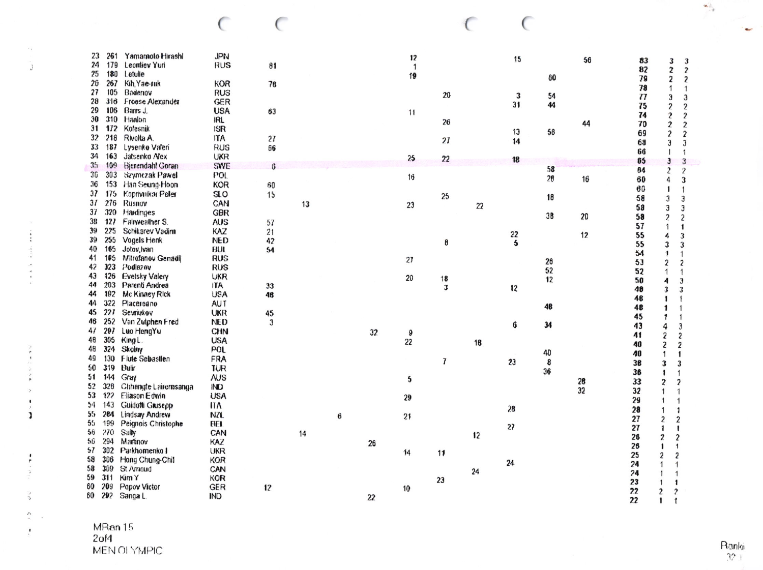| 23             | 261 | Yamamoto Hirashi        | <b>JPN</b>   |              |    |   |    | 12           |    |    | 15 |    | 56 | 83       | 3                       | $\mathfrak z$           |
|----------------|-----|-------------------------|--------------|--------------|----|---|----|--------------|----|----|----|----|----|----------|-------------------------|-------------------------|
| 24             | 179 | Leontiev Yuri           | <b>RUS</b>   | 81           |    |   |    | $\mathbf{1}$ |    |    |    |    |    | 82       | $\mathbf{z}$            | $\boldsymbol{z}$        |
| 25             | 180 | Letulle                 |              |              |    |   |    | 19           |    |    |    | 60 |    | 79       | 2                       | 2                       |
| 26             | 267 | Kih, Yae-rak            | <b>KOR</b>   | 76           |    |   |    |              |    |    |    |    |    | 78       | 1                       | $\mathbf{1}$            |
| 27             | 105 | Badenov                 | <b>RUS</b>   |              |    |   |    |              | 20 |    | 3  | 54 |    | 77       | Э                       | $\mathfrak{Z}$          |
| 28             | 316 | <b>Froese Alexander</b> | <b>GER</b>   |              |    |   |    |              |    |    | 31 | 44 |    | 75       | $\overline{2}$          | $\boldsymbol{2}$        |
| 29             | 106 | Barrs J.                | <b>USA</b>   | 63           |    |   |    | 11           |    |    |    |    |    | 74       | $\mathbf{Z}$            | $\boldsymbol{2}$        |
| 30             | 310 | Hanlon                  | IRL          |              |    |   |    |              | 26 |    |    |    | 44 | 70       | $\boldsymbol{2}$        | $\mathbf{2}$            |
| 31             | 172 | Kofesnik                | <b>ISR</b>   |              |    |   |    |              |    |    | 13 | 56 |    | 69       | $\boldsymbol{z}$        | $\boldsymbol{2}$        |
| 32             | 218 | Rivolta A.              | <b>ITA</b>   | 27           |    |   |    |              | 21 |    | 14 |    |    | 68       | 3                       | 3                       |
| 33             | 187 | Lysenko Valeri          | <b>RUS</b>   | 66           |    |   |    |              |    |    |    |    |    | 66       |                         | 1                       |
| 34             | 163 | Jatsenko Alex           | <b>UKR</b>   |              |    |   |    | 25           | 22 |    | 18 |    |    | 65       | $\mathbf{3}$            | 3                       |
| 3 <sub>1</sub> | 100 | <b>Bjerendahl Goran</b> | SWE          | 6            |    |   |    |              |    |    |    | 58 |    | 64       | $\mathbf{2}$            | $\overline{\mathbf{c}}$ |
| 36             | 303 | Szymczak Pawel          | POL.         |              |    |   |    | 16           |    |    |    | 28 | 16 | 60       | 4                       | 3                       |
| 36             | 153 | Han Seung-Hoon          | <b>KOR</b>   | 60           |    |   |    |              |    |    |    |    |    | 60       | 1                       | 1                       |
| 37             | 175 | Koprivnikar Peter       | SO           | 15           |    |   |    |              | 25 |    |    | 18 |    | 58       | $\mathfrak{z}$          | 3                       |
| 31             | 276 | Rusnov                  | CAN          |              | 13 |   |    | 23           |    | 22 |    |    |    | 58       | 3                       | 3                       |
| 37             | 320 | Hardinges               | <b>GBR</b>   |              |    |   |    |              |    |    |    | 38 | 20 | 58       |                         |                         |
| 38             | 127 | Falrweather S.          | <b>AUS</b>   | 57           |    |   |    |              |    |    |    |    |    | 57       | $\overline{\mathbf{c}}$ | $\overline{c}$          |
| 39             | 225 | Schikarev Vadim         | KAZ          | 21           |    |   |    |              |    |    | 22 |    | 12 |          | 1                       | 1                       |
| 39             | 255 | Vogels Henk             | <b>NED</b>   | 42           |    |   |    |              | 8  |    | 5  |    |    | 55       | 4                       | 3                       |
| 40             | 105 | Jotov, Ivan             | BUL          | 54           |    |   |    |              |    |    |    |    |    | 55       | 3                       | 3                       |
| 41             | 105 | Mitrefanov Genadil      | RUS          |              |    |   |    | 27           |    |    |    | 26 |    | 54       | 1                       | 1                       |
| 42             | 323 | Podlezov                | <b>RUS</b>   |              |    |   |    |              |    |    |    | 52 |    | 53       | 2                       | 2                       |
| 43             | 126 | <b>Evelsky Valcry</b>   | <b>UKR</b>   |              |    |   |    | 20           | 18 |    |    | 12 |    | 52       | 1                       | $\overline{1}$          |
| 44             | 203 | Parenti Andrea          | <b>ITA</b>   | 33           |    |   |    |              | 3  |    | 12 |    |    | 50<br>48 | 4                       | $\mathbf{3}$            |
| 44             | 192 | Mc Kinney Rick          | <b>USA</b>   | 48           |    |   |    |              |    |    |    |    |    |          | 3                       | 3                       |
| 44             | 322 | Ріасеговпо              | <b>AUT</b>   |              |    |   |    |              |    |    |    | 48 |    | 48       | 1                       |                         |
| 45             | 227 | Sevriukov               | <b>UKR</b>   | 45           |    |   |    |              |    |    |    |    |    | 48       | 1                       |                         |
| 46             | 252 | Van Zutphen Fred        | <b>NED</b>   | $\mathbf{3}$ |    |   |    |              |    |    | 6  | 34 |    | 45       | 1                       | 1                       |
| 47             | 297 | Luo HengYu              | <b>CHN</b>   |              |    |   | 32 | 9            |    |    |    |    |    | 43       | 4                       | 3                       |
| 48             | 305 | King L.                 | <b>USA</b>   |              |    |   |    | 22           |    | 18 |    |    |    | 41       | $\overline{\mathbf{2}}$ | 2                       |
| 48             | 324 | <b>Skolny</b>           | POL          |              |    |   |    |              |    |    |    |    |    | 40       | $\overline{\mathbf{c}}$ | $\overline{\mathbf{2}}$ |
| 49             | 130 | Flute Sebastlen         | FRA          |              |    |   |    |              | 7  |    |    | 40 |    | 40       | 1                       | 1                       |
| 50             | 319 | <b>Hulir</b>            | <b>TUR</b>   |              |    |   |    |              |    |    | 23 | 8  |    | 38       | 3                       | 3                       |
| 51             | 144 | Gray                    | <b>AUS</b>   |              |    |   |    | 5            |    |    |    | 36 |    | 36       | 1                       |                         |
| 52             | 328 | Chhangte Lairernsanga   | $\mathbb{N}$ |              |    |   |    |              |    |    |    |    | 28 | 33       | $\overline{\mathbf{c}}$ | $\mathbf{2}$            |
| 53             | 122 | Eliason Edwin           | <b>USA</b>   |              |    |   |    | 29           |    |    |    |    | 32 | 32       | 1                       |                         |
| 54             | 143 | Guidotti Grusepp        | <b>ITA</b>   |              |    |   |    |              |    |    |    |    |    | 29       | 1                       |                         |
| 55             | 204 | Lindsay Andrew          | NZL          |              |    |   |    |              |    |    | 28 |    |    | 28       | 1                       | 1                       |
| $55^{\circ}$   | 199 | Peignois Christophe     | 8EI          |              |    | 6 |    | 21           |    |    |    |    |    | 27       | $\overline{\mathbf{c}}$ | $\boldsymbol{2}$        |
| 56             | 270 | Sally                   | CAN          |              |    |   |    |              |    |    | 27 |    |    | 27       | 1                       | 1                       |
| 56             | 294 | Martinov                | KAZ          |              | 14 |   |    |              |    | 12 |    |    |    | 26       | $\boldsymbol{2}$        | $\boldsymbol{2}$        |
| 57             | 302 | Parkhomenko I           | <b>UKR</b>   |              |    |   | 26 |              |    |    |    |    |    | 26       | 1                       | 1                       |
| 58             | 306 | Hong Chung-Chil         | <b>KOR</b>   |              |    |   |    | 14           | 11 |    |    |    |    | 25       | 2                       | $\overline{2}$          |
| 58             | 309 | St. Amoud               | CAN          |              |    |   |    |              |    |    | 24 |    |    | 24       |                         |                         |
| 59             | 311 | Kim Y                   | KOR          |              |    |   |    |              |    | 24 |    |    |    | 24       |                         |                         |
| 60             | 209 | Papov Victor            | <b>GER</b>   |              |    |   |    |              | 23 |    |    |    |    | 23       |                         | 1                       |
| 60             | 292 |                         | <b>IND</b>   | 12           |    |   |    | 10           |    |    |    |    |    | 22       | $\overline{c}$          | $\overline{\mathbf{c}}$ |
|                |     | Sanga L.                |              |              |    |   | 22 |              |    |    |    |    |    | 22       | $\mathbf{1}$            | $\ddot{\tau}$           |

 $\begin{matrix} \cdot & \cdot \end{matrix}$ 

 $\begin{matrix} \cdot & \cdot \end{matrix}$ 

 $\sim$  $\mathbf{j}$ 

 $\frac{1}{2}$ 

 $\overline{a}$ 

 $\frac{1}{2}$ 

 $\ddot{\cdot}$ 

 $\frac{3}{2}$ 

 $\tilde{\zeta}$  $\omega$ 

 $\mathbf{f}$ 

Ranki<br>32 |

 $\frac{\left\langle \mathbf{q}_{i}\right\rangle _{2}}{\left\langle \mathbf{q}\right\rangle _{2}}$ 

 $\bullet$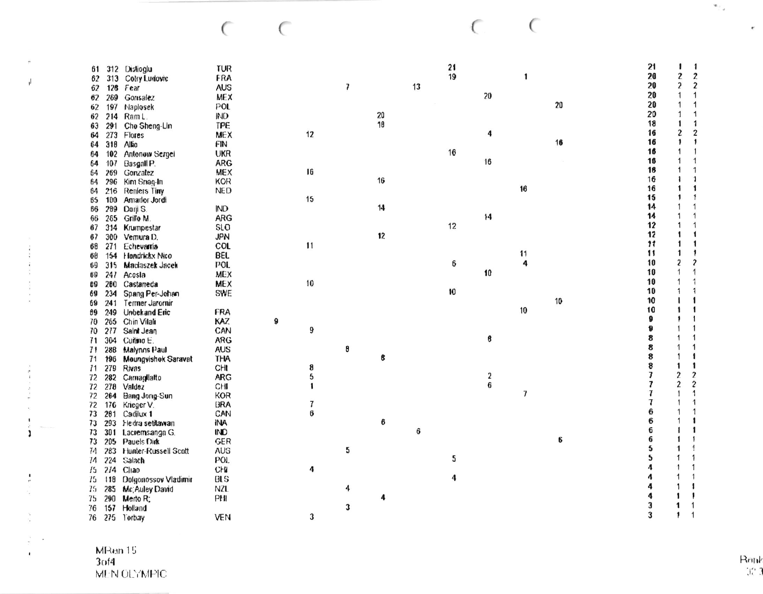$\subset$ 

 $\subset$ 

 $\subset$  $\epsilon$ 

| 61  |      | 312 Dislioglu        | TUR        |   |                  |   |    |    | 21 |    |            |    | 21 |                         | 1                          |
|-----|------|----------------------|------------|---|------------------|---|----|----|----|----|------------|----|----|-------------------------|----------------------------|
| 62  | 313  | Cotry Ludovic        | FRA        |   |                  |   |    |    | 19 |    | 1          |    | 20 | 2                       | $\boldsymbol{2}$           |
| 62  | 126  | Fear                 | <b>AUS</b> |   |                  | 7 |    | 13 |    |    |            |    | 20 | $\overline{\mathbf{c}}$ | $\boldsymbol{2}$           |
| 62  | 269  | Gonsalez             | <b>MEX</b> |   |                  |   |    |    |    | 20 |            |    | 20 | $\mathbf 1$             | 1                          |
|     |      |                      | POL        |   |                  |   |    |    |    |    |            | 20 | 20 | 1                       | 1                          |
| 62  | 197  | Maplosek             |            |   |                  |   | 20 |    |    |    |            |    | 20 | 1                       | 1                          |
| 62  | 214  | Ram L.               | MD         |   |                  |   | 18 |    |    |    |            |    | 18 | 1                       | $\mathbf{1}$               |
| 63  | 291  | Cho Sheng-Lin        | <b>TPE</b> |   |                  |   |    |    |    |    |            |    | 16 | 2                       | $\boldsymbol{2}$           |
| 64  | 273  | Flores               | <b>MEX</b> |   | 12               |   |    |    |    | 4  |            | 16 | 16 | $\mathbf{1}$            | $\sqrt{2}$                 |
| 64  | 318  | Allio                | FIN        |   |                  |   |    |    |    |    |            |    | 16 |                         |                            |
| 64  | 102  | Antonow Sergei       | <b>UKR</b> |   |                  |   |    |    | 16 |    |            |    |    | 1                       |                            |
| 64  | 107  | Basgall P.           | <b>ARG</b> |   |                  |   |    |    |    | 16 |            |    | 16 | 1                       | $\mathbf{1}$               |
| 64  | 269  | Gonzalez             | <b>MEX</b> |   | I6               |   |    |    |    |    |            |    | 16 | $\mathbf{1}$            | 1                          |
| 64  | 296  | Kim Snag-In          | <b>KOR</b> |   |                  |   | 16 |    |    |    |            |    | 16 | 1                       | $\mathbf{1}$               |
| 64  | 216  | Reniers Tiny         | <b>NED</b> |   |                  |   |    |    |    |    | 16         |    | 16 | 1                       | 1                          |
| 65  | 100  | Amador Jordi         |            |   | 15               |   |    |    |    |    |            |    | 15 | $\mathbf{1}$            | $\ddagger$                 |
| 66  | 289  | Doni S.              | IND        |   |                  |   | 14 |    |    |    |            |    | 14 | 1                       | 1                          |
| 66  | 265  | Grillo M.            | <b>ARG</b> |   |                  |   |    |    |    | 14 |            |    | 14 | 1                       | $\mathbf{1}$               |
| 67  | 314  | Krumpestar           | 510        |   |                  |   |    |    | 12 |    |            |    | 12 | 1                       | 1                          |
| 67  | 300  | Vemura D.            | <b>JPN</b> |   |                  |   | 12 |    |    |    |            |    | 12 | 1                       | 1                          |
| 68  | 271  | Echevarria           | <b>COL</b> |   | 11               |   |    |    |    |    |            |    | 11 | 1                       | 1                          |
| 68  | 154  | Handrickx Nico       | <b>BEL</b> |   |                  |   |    |    |    |    | 11         |    | 11 | 1                       | 1                          |
| 69  | 315  | Maciaszek Jacek      | POL.       |   |                  |   |    |    | 6  |    | $\ddot{a}$ |    | 10 | 2                       | $\boldsymbol{\mathcal{P}}$ |
| 69  | 241  | Acosla               | <b>MEX</b> |   |                  |   |    |    |    | 10 |            |    | 10 | 1                       | $\mathbf{1}$               |
| UD. | 200  | Castaneda            | <b>MEX</b> |   | 10               |   |    |    |    |    |            |    | 10 |                         | 1                          |
|     |      |                      | SWE        |   |                  |   |    |    | 10 |    |            |    | 10 | 1                       | 1                          |
| 69  | 234  | Spang Per-Johan      |            |   |                  |   |    |    |    |    |            | 10 | 10 |                         |                            |
| 69  | 241  | Termer Jaromir       |            |   |                  |   |    |    |    |    | 10         |    | 10 |                         | 1                          |
| 69  | 249  | Unbekand Eric        | FRA        |   |                  |   |    |    |    |    |            |    | 9  |                         |                            |
| 70  | 265  | Chin Vilali          | KAZ.       | 9 |                  |   |    |    |    |    |            |    | 9  |                         |                            |
| 70  | 217  | Saint Jean           | CAN        |   | 9                |   |    |    |    |    |            |    | 8  |                         |                            |
| 71  | 304  | Curisno E.           | ARG        |   |                  |   |    |    |    | 8  |            |    | 8  |                         | 1                          |
| 71  | 288  | Malynns Paul         | <b>AUS</b> |   |                  | 8 |    |    |    |    |            |    | 8  |                         | 1                          |
| 71  | 196  | Moungvishok Saravat  | <b>THA</b> |   |                  |   | 8  |    |    |    |            |    | 8  | 1                       | 1                          |
| I1  | 279  | Rivas                | CHI        |   | 8                |   |    |    |    |    |            |    |    |                         |                            |
| 72  | 282  | Carnagilatto         | <b>ARG</b> |   | 5                |   |    |    |    | 2  |            |    | 7  | $\overline{c}$          | $\boldsymbol{2}$           |
| 72  | 278  | Valdez               | CHI        |   | 1                |   |    |    |    | 6  |            |    | 7  | $\overline{c}$          | $\boldsymbol{2}$           |
| 72  | 264  | Bang Jong-Sun        | <b>KOR</b> |   |                  |   |    |    |    |    | 7          |    | 7  |                         | 1                          |
| 72  | 176  | Krieger V.           | <b>BRA</b> |   | 7                |   |    |    |    |    |            |    | 7  |                         | 1                          |
| 73  | 201  | Cadilux 1            | CAN        |   | $\boldsymbol{6}$ |   |    |    |    |    |            |    | 6  |                         | 1                          |
| 73  | 293  | Hedra setitawan      | 1NA        |   |                  |   | 6  |    |    |    |            |    | 6  |                         | 1                          |
| 73  | 30 1 | Lacremsanga G.       | IND        |   |                  |   |    | ô  |    |    |            |    | 6  |                         | 1                          |
| 73  | 205  | Pauels Dirk          | <b>GER</b> |   |                  |   |    |    |    |    |            | 6  | 6  | 1                       | 1                          |
| 74  | 283  | Hunter-Russell Scott | <b>AUS</b> |   |                  | 5 |    |    |    |    |            |    | 5  | 1                       |                            |
| 74  | 224  | Salach               | <b>POL</b> |   |                  |   |    |    | 5  |    |            |    | 5  |                         | 1                          |
| 75  | 274  | Cliao                | CH4        |   | 4                |   |    |    |    |    |            |    | Λ  |                         |                            |
| 75  | 118  | Dolgonossov Vladimir | HS         |   |                  |   |    |    | 4  |    |            |    | Л  | 1                       | $\mathbf{1}$               |
| 75  | 285  | Mc Auley David       | NZL        |   |                  | 4 |    |    |    |    |            |    | 4  | 1                       |                            |
| 75  | 290  | Merto R;             | PHI        |   |                  |   | 4  |    |    |    |            |    |    | 1                       |                            |
| 76  | 157  | Holland              |            |   |                  | 3 |    |    |    |    |            |    | 3  | 1                       |                            |
| 76  | 275  | Torbay               | VEN        |   | 3                |   |    |    |    |    |            |    | 3  | 1                       |                            |
|     |      |                      |            |   |                  |   |    |    |    |    |            |    |    |                         |                            |

MRan 15<br>3of4<br>MEN OLYMPIC

 $\ddot{\cdot}$ 

 $\mathfrak{h}$ 

 $\frac{1}{2}$ 

 $\frac{1}{2}$ 

 $\frac{1}{n}$ 

 $\mathcal{L}(\mathcal{X})$  $\blacksquare$ 

 $\mathbf{r}$ 

Rank<br>32.3

 $\mathbf{w}_{i,k}$ 

 $\epsilon$